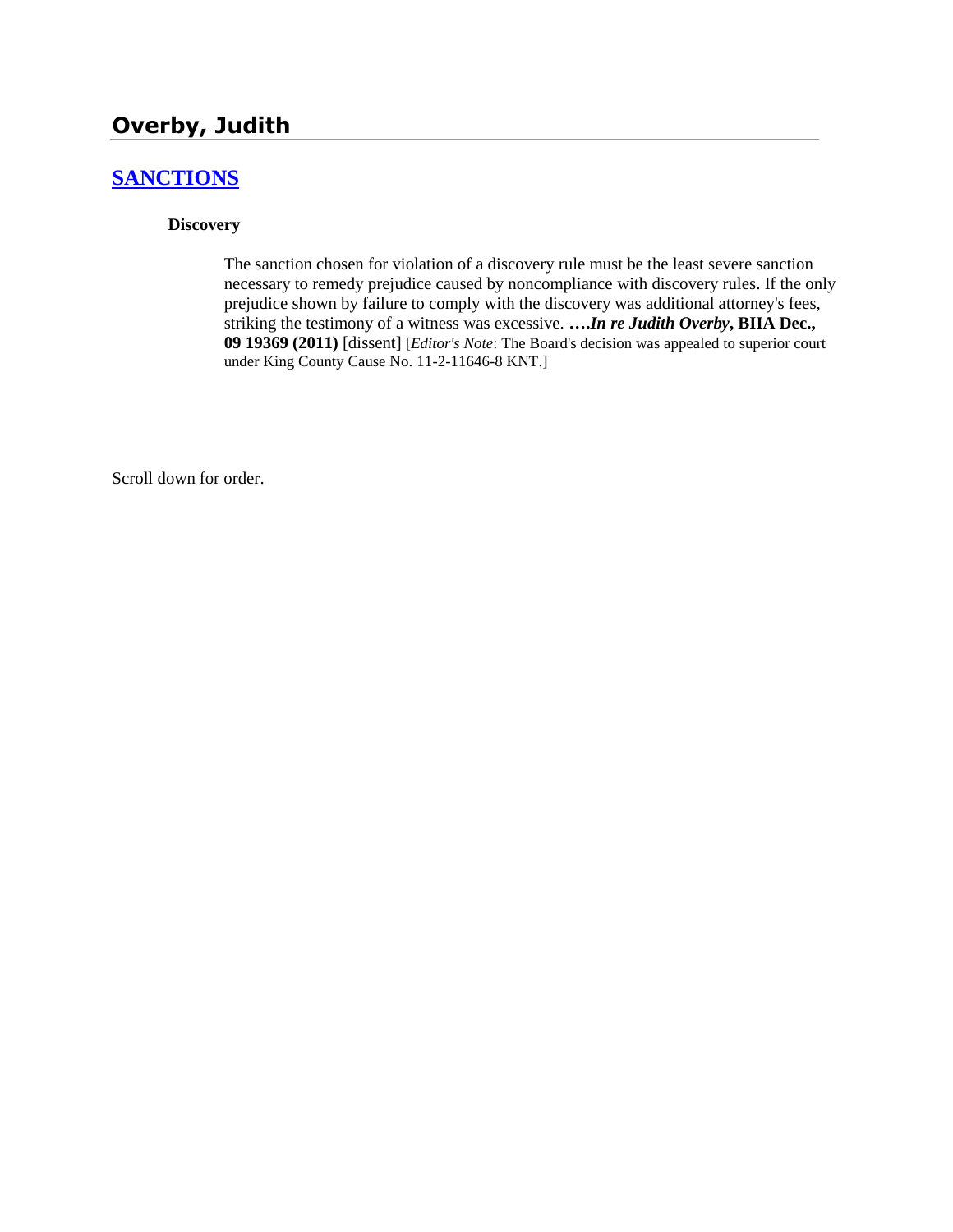# **Overby, Judith**

# **[SANCTIONS](http://www.biia.wa.gov/SDSubjectIndex.html#SANCTIONS)**

#### **Discovery**

The sanction chosen for violation of a discovery rule must be the least severe sanction necessary to remedy prejudice caused by noncompliance with discovery rules. If the only prejudice shown by failure to comply with the discovery was additional attorney's fees, striking the testimony of a witness was excessive. **….***In re Judith Overby***, BIIA Dec., 09 19369 (2011)** [dissent] [*Editor's Note*: The Board's decision was appealed to superior court under King County Cause No. 11-2-11646-8 KNT.]

Scroll down for order.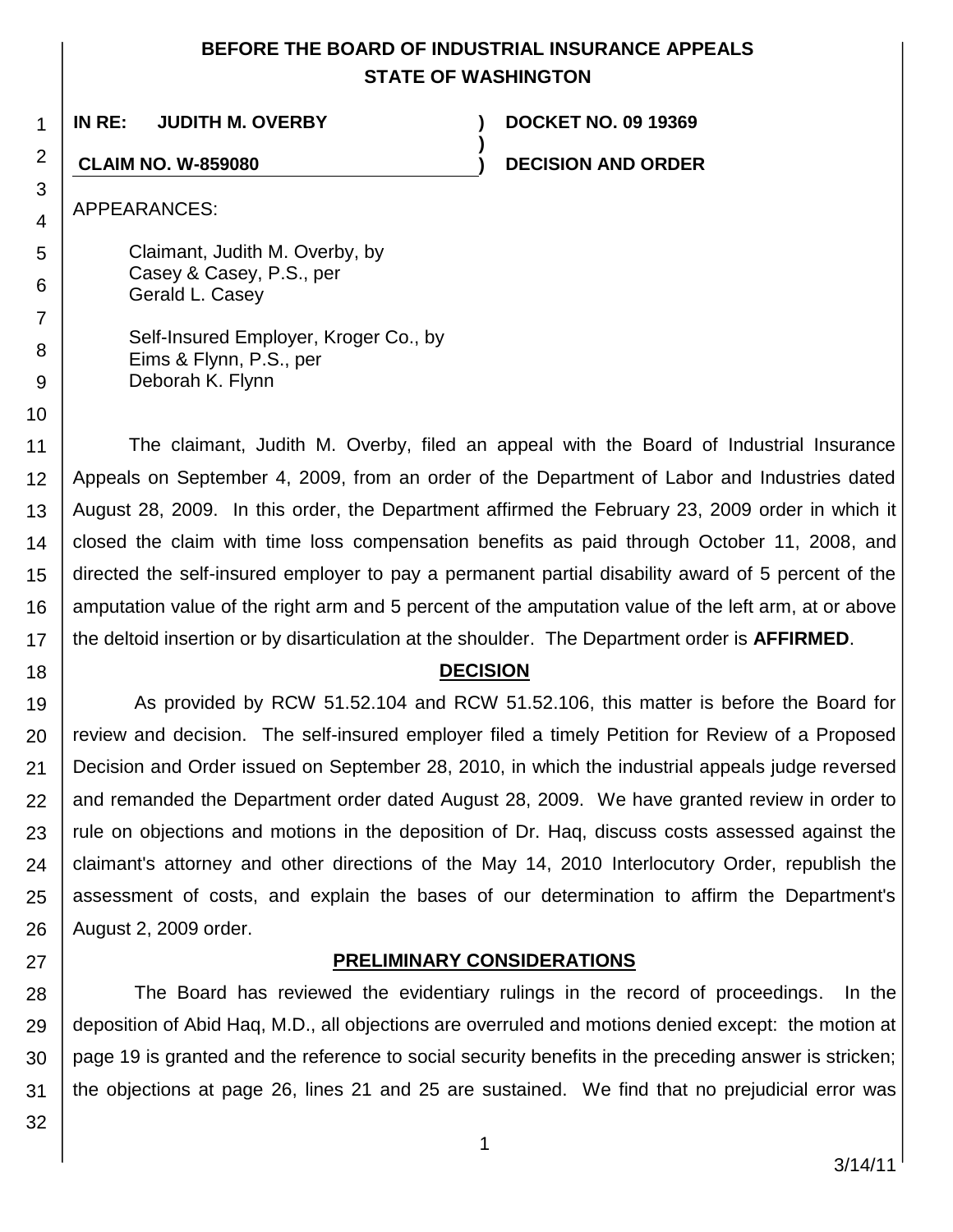## **BEFORE THE BOARD OF INDUSTRIAL INSURANCE APPEALS STATE OF WASHINGTON**

**)**

**IN RE: JUDITH M. OVERBY ) DOCKET NO. 09 19369**

**CLAIM NO. W-859080 ) DECISION AND ORDER**

APPEARANCES:

1

2

3

4

5

6

7

8 9

10

18

Claimant, Judith M. Overby, by Casey & Casey, P.S., per Gerald L. Casey

| Self-Insured Employer, Kroger Co., by |
|---------------------------------------|
| Eims & Flynn, P.S., per               |
| Deborah K. Flynn                      |

11 12 13 14 15 16 17 The claimant, Judith M. Overby, filed an appeal with the Board of Industrial Insurance Appeals on September 4, 2009, from an order of the Department of Labor and Industries dated August 28, 2009. In this order, the Department affirmed the February 23, 2009 order in which it closed the claim with time loss compensation benefits as paid through October 11, 2008, and directed the self-insured employer to pay a permanent partial disability award of 5 percent of the amputation value of the right arm and 5 percent of the amputation value of the left arm, at or above the deltoid insertion or by disarticulation at the shoulder. The Department order is **AFFIRMED**.

## **DECISION**

19 20 21 22 23 24 25 26 As provided by RCW 51.52.104 and RCW 51.52.106, this matter is before the Board for review and decision. The self-insured employer filed a timely Petition for Review of a Proposed Decision and Order issued on September 28, 2010, in which the industrial appeals judge reversed and remanded the Department order dated August 28, 2009. We have granted review in order to rule on objections and motions in the deposition of Dr. Haq, discuss costs assessed against the claimant's attorney and other directions of the May 14, 2010 Interlocutory Order, republish the assessment of costs, and explain the bases of our determination to affirm the Department's August 2, 2009 order.

# **PRELIMINARY CONSIDERATIONS**

28 29 30 31 The Board has reviewed the evidentiary rulings in the record of proceedings. In the deposition of Abid Haq, M.D., all objections are overruled and motions denied except: the motion at page 19 is granted and the reference to social security benefits in the preceding answer is stricken; the objections at page 26, lines 21 and 25 are sustained. We find that no prejudicial error was

32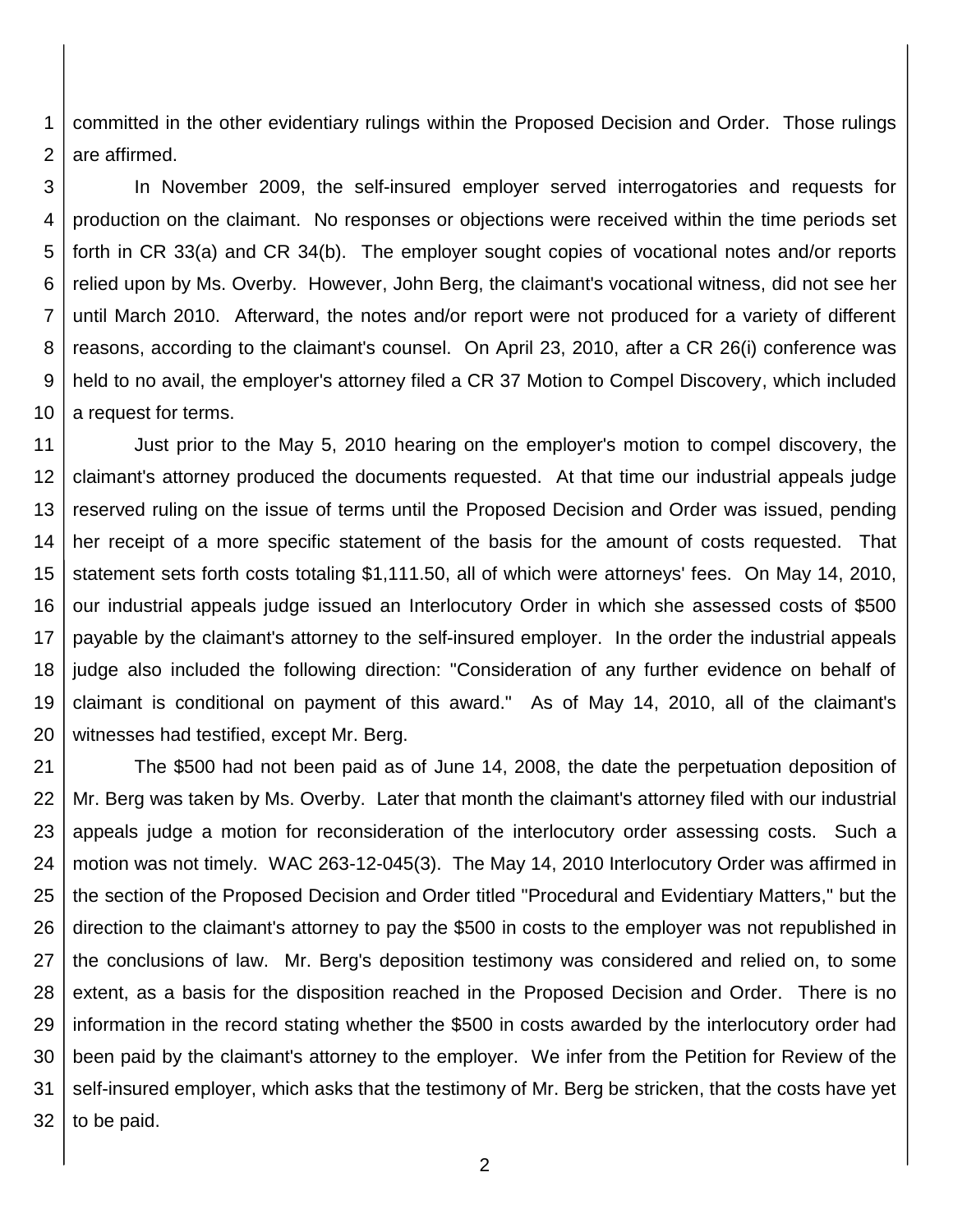1 2 committed in the other evidentiary rulings within the Proposed Decision and Order. Those rulings are affirmed.

3 4 5 6 7 8 9 10 In November 2009, the self-insured employer served interrogatories and requests for production on the claimant. No responses or objections were received within the time periods set forth in CR 33(a) and CR 34(b). The employer sought copies of vocational notes and/or reports relied upon by Ms. Overby. However, John Berg, the claimant's vocational witness, did not see her until March 2010. Afterward, the notes and/or report were not produced for a variety of different reasons, according to the claimant's counsel. On April 23, 2010, after a CR 26(i) conference was held to no avail, the employer's attorney filed a CR 37 Motion to Compel Discovery, which included a request for terms.

11 12 13 14 15 16 17 18 19 20 Just prior to the May 5, 2010 hearing on the employer's motion to compel discovery, the claimant's attorney produced the documents requested. At that time our industrial appeals judge reserved ruling on the issue of terms until the Proposed Decision and Order was issued, pending her receipt of a more specific statement of the basis for the amount of costs requested. That statement sets forth costs totaling \$1,111.50, all of which were attorneys' fees. On May 14, 2010, our industrial appeals judge issued an Interlocutory Order in which she assessed costs of \$500 payable by the claimant's attorney to the self-insured employer. In the order the industrial appeals judge also included the following direction: "Consideration of any further evidence on behalf of claimant is conditional on payment of this award." As of May 14, 2010, all of the claimant's witnesses had testified, except Mr. Berg.

21 22 23 24 25 26 27 28 29 30 31 32 The \$500 had not been paid as of June 14, 2008, the date the perpetuation deposition of Mr. Berg was taken by Ms. Overby. Later that month the claimant's attorney filed with our industrial appeals judge a motion for reconsideration of the interlocutory order assessing costs. Such a motion was not timely. WAC 263-12-045(3). The May 14, 2010 Interlocutory Order was affirmed in the section of the Proposed Decision and Order titled "Procedural and Evidentiary Matters," but the direction to the claimant's attorney to pay the \$500 in costs to the employer was not republished in the conclusions of law. Mr. Berg's deposition testimony was considered and relied on, to some extent, as a basis for the disposition reached in the Proposed Decision and Order. There is no information in the record stating whether the \$500 in costs awarded by the interlocutory order had been paid by the claimant's attorney to the employer. We infer from the Petition for Review of the self-insured employer, which asks that the testimony of Mr. Berg be stricken, that the costs have yet to be paid.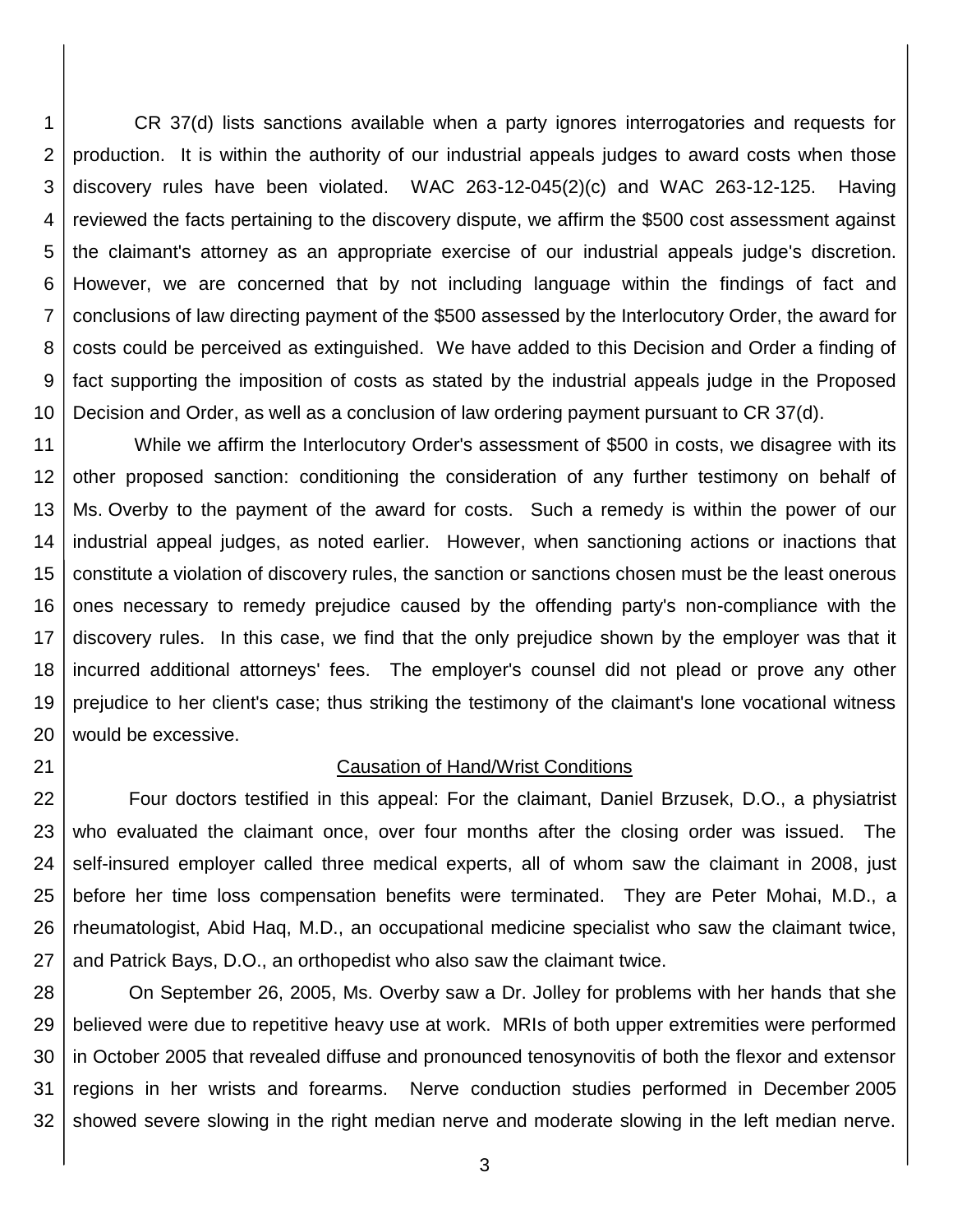1 2 3 4 5 6 7 8 9 10 CR 37(d) lists sanctions available when a party ignores interrogatories and requests for production. It is within the authority of our industrial appeals judges to award costs when those discovery rules have been violated. WAC 263-12-045(2)(c) and WAC 263-12-125. Having reviewed the facts pertaining to the discovery dispute, we affirm the \$500 cost assessment against the claimant's attorney as an appropriate exercise of our industrial appeals judge's discretion. However, we are concerned that by not including language within the findings of fact and conclusions of law directing payment of the \$500 assessed by the Interlocutory Order, the award for costs could be perceived as extinguished. We have added to this Decision and Order a finding of fact supporting the imposition of costs as stated by the industrial appeals judge in the Proposed Decision and Order, as well as a conclusion of law ordering payment pursuant to CR 37(d).

11 12 13 14 15 16 17 18 19 20 While we affirm the Interlocutory Order's assessment of \$500 in costs, we disagree with its other proposed sanction: conditioning the consideration of any further testimony on behalf of Ms. Overby to the payment of the award for costs. Such a remedy is within the power of our industrial appeal judges, as noted earlier. However, when sanctioning actions or inactions that constitute a violation of discovery rules, the sanction or sanctions chosen must be the least onerous ones necessary to remedy prejudice caused by the offending party's non-compliance with the discovery rules. In this case, we find that the only prejudice shown by the employer was that it incurred additional attorneys' fees. The employer's counsel did not plead or prove any other prejudice to her client's case; thus striking the testimony of the claimant's lone vocational witness would be excessive.

21

### Causation of Hand/Wrist Conditions

22 23 24 25 26 27 Four doctors testified in this appeal: For the claimant, Daniel Brzusek, D.O., a physiatrist who evaluated the claimant once, over four months after the closing order was issued. The self-insured employer called three medical experts, all of whom saw the claimant in 2008, just before her time loss compensation benefits were terminated. They are Peter Mohai, M.D., a rheumatologist, Abid Haq, M.D., an occupational medicine specialist who saw the claimant twice, and Patrick Bays, D.O., an orthopedist who also saw the claimant twice.

28 29 30 31 32 On September 26, 2005, Ms. Overby saw a Dr. Jolley for problems with her hands that she believed were due to repetitive heavy use at work. MRIs of both upper extremities were performed in October 2005 that revealed diffuse and pronounced tenosynovitis of both the flexor and extensor regions in her wrists and forearms. Nerve conduction studies performed in December 2005 showed severe slowing in the right median nerve and moderate slowing in the left median nerve.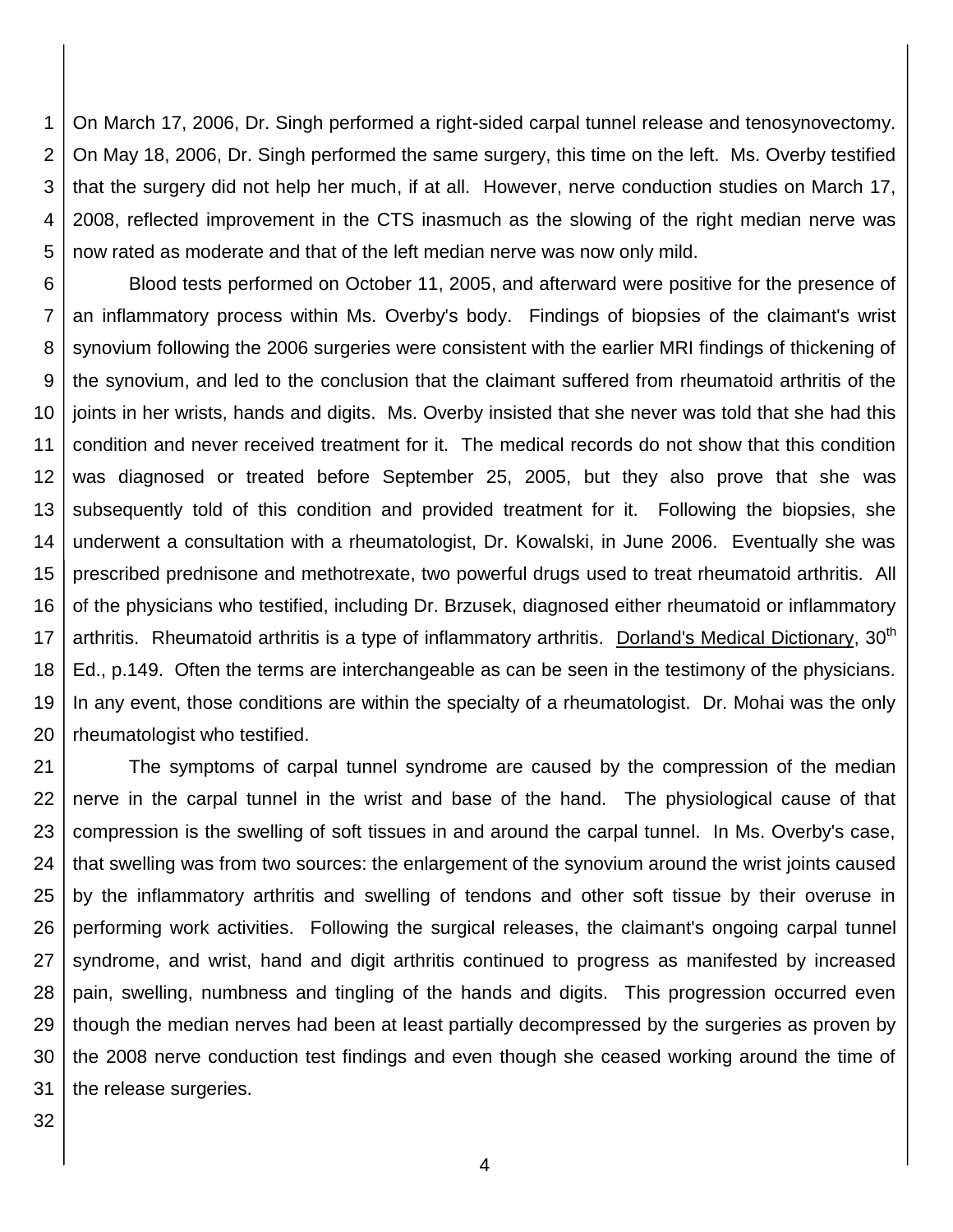1 2 3 4 5 On March 17, 2006, Dr. Singh performed a right-sided carpal tunnel release and tenosynovectomy. On May 18, 2006, Dr. Singh performed the same surgery, this time on the left. Ms. Overby testified that the surgery did not help her much, if at all. However, nerve conduction studies on March 17, 2008, reflected improvement in the CTS inasmuch as the slowing of the right median nerve was now rated as moderate and that of the left median nerve was now only mild.

6 7 8 9 10 11 12 13 14 15 16 17 18 19 20 Blood tests performed on October 11, 2005, and afterward were positive for the presence of an inflammatory process within Ms. Overby's body. Findings of biopsies of the claimant's wrist synovium following the 2006 surgeries were consistent with the earlier MRI findings of thickening of the synovium, and led to the conclusion that the claimant suffered from rheumatoid arthritis of the joints in her wrists, hands and digits. Ms. Overby insisted that she never was told that she had this condition and never received treatment for it. The medical records do not show that this condition was diagnosed or treated before September 25, 2005, but they also prove that she was subsequently told of this condition and provided treatment for it. Following the biopsies, she underwent a consultation with a rheumatologist, Dr. Kowalski, in June 2006. Eventually she was prescribed prednisone and methotrexate, two powerful drugs used to treat rheumatoid arthritis. All of the physicians who testified, including Dr. Brzusek, diagnosed either rheumatoid or inflammatory arthritis. Rheumatoid arthritis is a type of inflammatory arthritis. Dorland's Medical Dictionary, 30<sup>th</sup> Ed., p.149. Often the terms are interchangeable as can be seen in the testimony of the physicians. In any event, those conditions are within the specialty of a rheumatologist. Dr. Mohai was the only rheumatologist who testified.

21 22 23 24 25 26 27 28 29 30 31 The symptoms of carpal tunnel syndrome are caused by the compression of the median nerve in the carpal tunnel in the wrist and base of the hand. The physiological cause of that compression is the swelling of soft tissues in and around the carpal tunnel. In Ms. Overby's case, that swelling was from two sources: the enlargement of the synovium around the wrist joints caused by the inflammatory arthritis and swelling of tendons and other soft tissue by their overuse in performing work activities. Following the surgical releases, the claimant's ongoing carpal tunnel syndrome, and wrist, hand and digit arthritis continued to progress as manifested by increased pain, swelling, numbness and tingling of the hands and digits. This progression occurred even though the median nerves had been at least partially decompressed by the surgeries as proven by the 2008 nerve conduction test findings and even though she ceased working around the time of the release surgeries.

32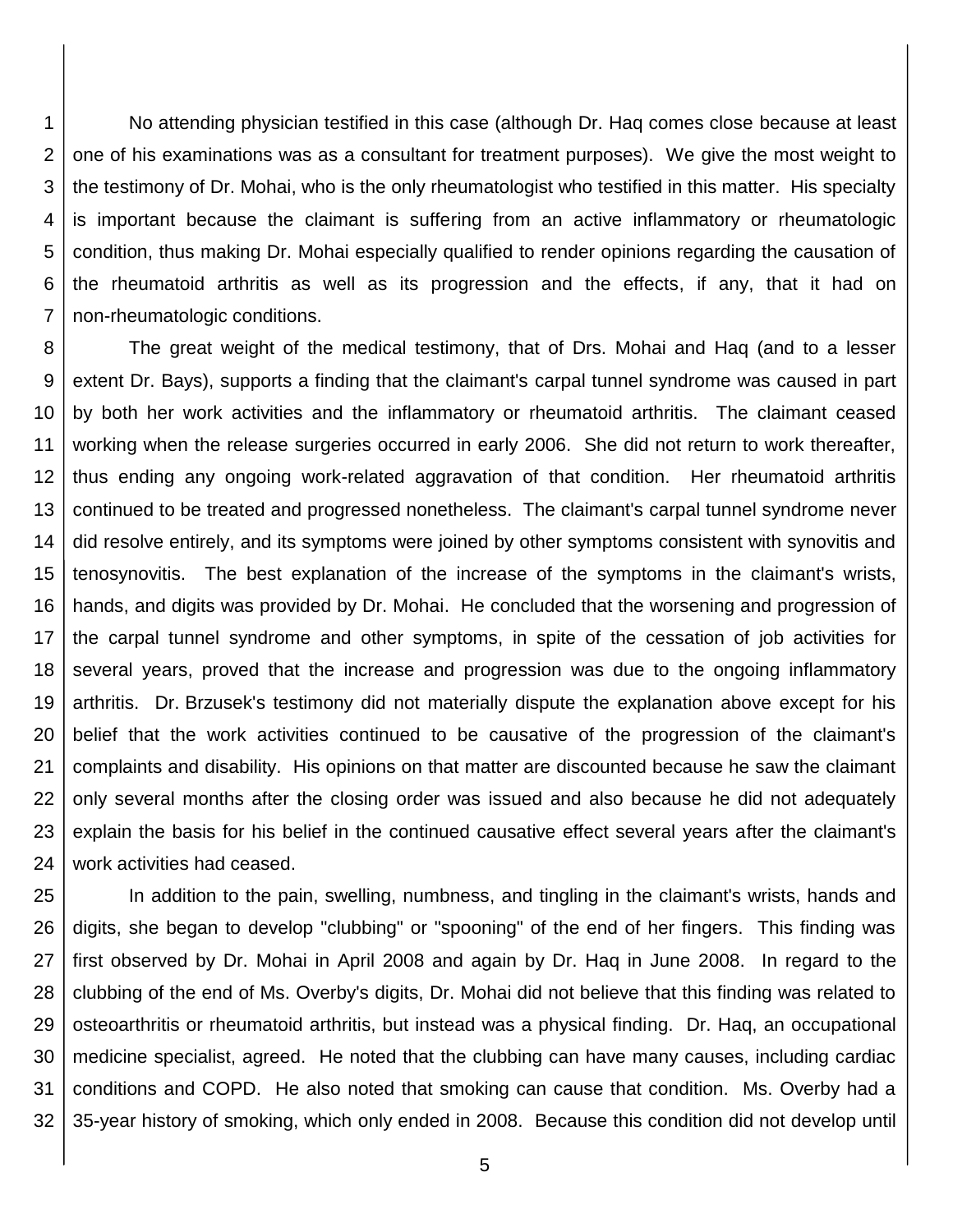1 2 3 4 5 6 7 No attending physician testified in this case (although Dr. Haq comes close because at least one of his examinations was as a consultant for treatment purposes). We give the most weight to the testimony of Dr. Mohai, who is the only rheumatologist who testified in this matter. His specialty is important because the claimant is suffering from an active inflammatory or rheumatologic condition, thus making Dr. Mohai especially qualified to render opinions regarding the causation of the rheumatoid arthritis as well as its progression and the effects, if any, that it had on non-rheumatologic conditions.

8 9 10 11 12 13 14 15 16 17 18 19 20 21 22 23 24 The great weight of the medical testimony, that of Drs. Mohai and Haq (and to a lesser extent Dr. Bays), supports a finding that the claimant's carpal tunnel syndrome was caused in part by both her work activities and the inflammatory or rheumatoid arthritis. The claimant ceased working when the release surgeries occurred in early 2006. She did not return to work thereafter, thus ending any ongoing work-related aggravation of that condition. Her rheumatoid arthritis continued to be treated and progressed nonetheless. The claimant's carpal tunnel syndrome never did resolve entirely, and its symptoms were joined by other symptoms consistent with synovitis and tenosynovitis. The best explanation of the increase of the symptoms in the claimant's wrists, hands, and digits was provided by Dr. Mohai. He concluded that the worsening and progression of the carpal tunnel syndrome and other symptoms, in spite of the cessation of job activities for several years, proved that the increase and progression was due to the ongoing inflammatory arthritis. Dr. Brzusek's testimony did not materially dispute the explanation above except for his belief that the work activities continued to be causative of the progression of the claimant's complaints and disability. His opinions on that matter are discounted because he saw the claimant only several months after the closing order was issued and also because he did not adequately explain the basis for his belief in the continued causative effect several years after the claimant's work activities had ceased.

25 26 27 28 29 30 31 32 In addition to the pain, swelling, numbness, and tingling in the claimant's wrists, hands and digits, she began to develop "clubbing" or "spooning" of the end of her fingers. This finding was first observed by Dr. Mohai in April 2008 and again by Dr. Haq in June 2008. In regard to the clubbing of the end of Ms. Overby's digits, Dr. Mohai did not believe that this finding was related to osteoarthritis or rheumatoid arthritis, but instead was a physical finding. Dr. Haq, an occupational medicine specialist, agreed. He noted that the clubbing can have many causes, including cardiac conditions and COPD. He also noted that smoking can cause that condition. Ms. Overby had a 35-year history of smoking, which only ended in 2008. Because this condition did not develop until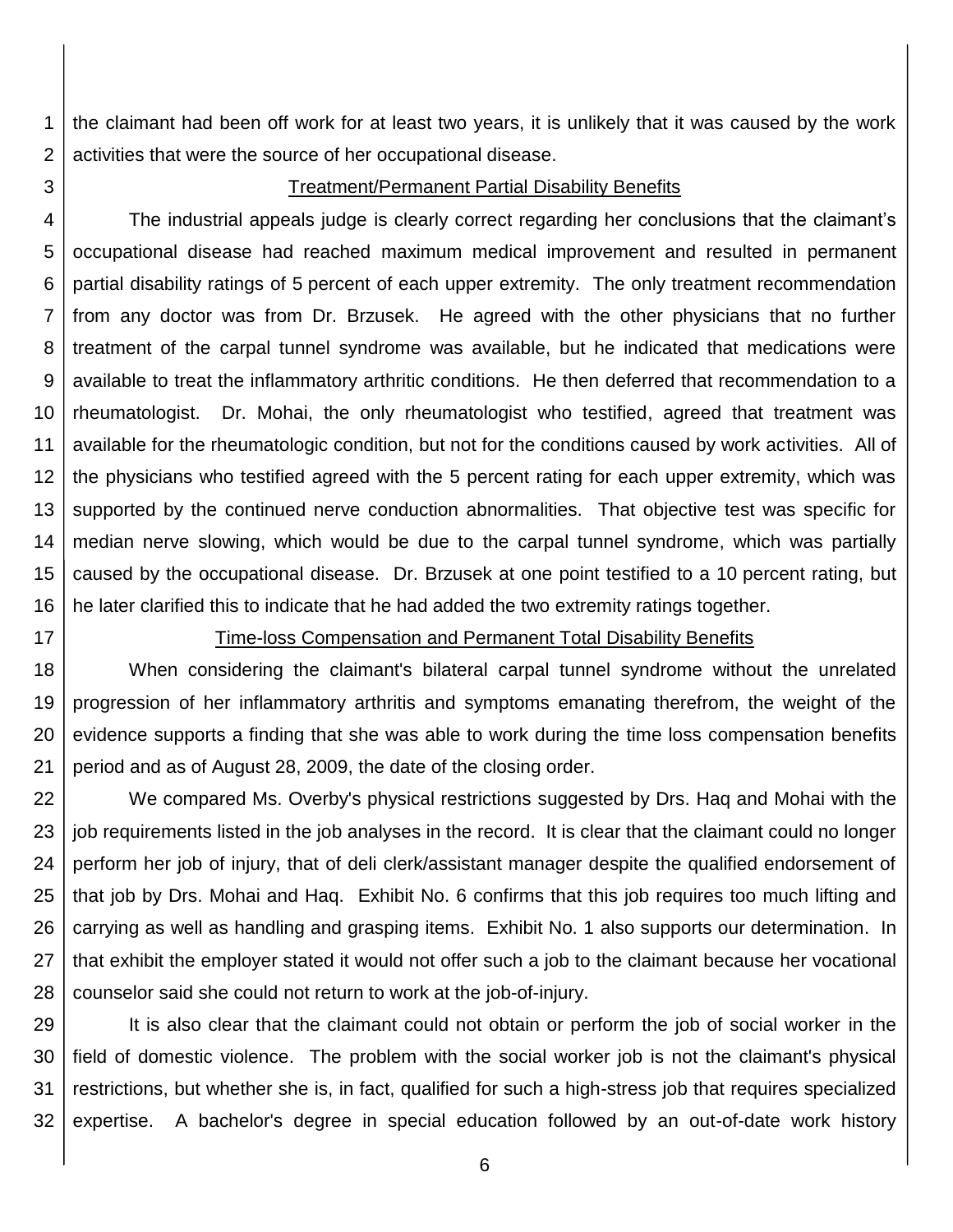1 2 the claimant had been off work for at least two years, it is unlikely that it was caused by the work activities that were the source of her occupational disease.

3

#### Treatment/Permanent Partial Disability Benefits

4 5 6 7 8 9 10 11 12 13 14 15 16 The industrial appeals judge is clearly correct regarding her conclusions that the claimant's occupational disease had reached maximum medical improvement and resulted in permanent partial disability ratings of 5 percent of each upper extremity. The only treatment recommendation from any doctor was from Dr. Brzusek. He agreed with the other physicians that no further treatment of the carpal tunnel syndrome was available, but he indicated that medications were available to treat the inflammatory arthritic conditions. He then deferred that recommendation to a rheumatologist. Dr. Mohai, the only rheumatologist who testified, agreed that treatment was available for the rheumatologic condition, but not for the conditions caused by work activities. All of the physicians who testified agreed with the 5 percent rating for each upper extremity, which was supported by the continued nerve conduction abnormalities. That objective test was specific for median nerve slowing, which would be due to the carpal tunnel syndrome, which was partially caused by the occupational disease. Dr. Brzusek at one point testified to a 10 percent rating, but he later clarified this to indicate that he had added the two extremity ratings together.

17

#### Time-loss Compensation and Permanent Total Disability Benefits

18 19 20 21 When considering the claimant's bilateral carpal tunnel syndrome without the unrelated progression of her inflammatory arthritis and symptoms emanating therefrom, the weight of the evidence supports a finding that she was able to work during the time loss compensation benefits period and as of August 28, 2009, the date of the closing order.

22 23 24 25 26 27 28 We compared Ms. Overby's physical restrictions suggested by Drs. Haq and Mohai with the job requirements listed in the job analyses in the record. It is clear that the claimant could no longer perform her job of injury, that of deli clerk/assistant manager despite the qualified endorsement of that job by Drs. Mohai and Haq. Exhibit No. 6 confirms that this job requires too much lifting and carrying as well as handling and grasping items. Exhibit No. 1 also supports our determination. In that exhibit the employer stated it would not offer such a job to the claimant because her vocational counselor said she could not return to work at the job-of-injury.

29 30 31 32 It is also clear that the claimant could not obtain or perform the job of social worker in the field of domestic violence. The problem with the social worker job is not the claimant's physical restrictions, but whether she is, in fact, qualified for such a high-stress job that requires specialized expertise. A bachelor's degree in special education followed by an out-of-date work history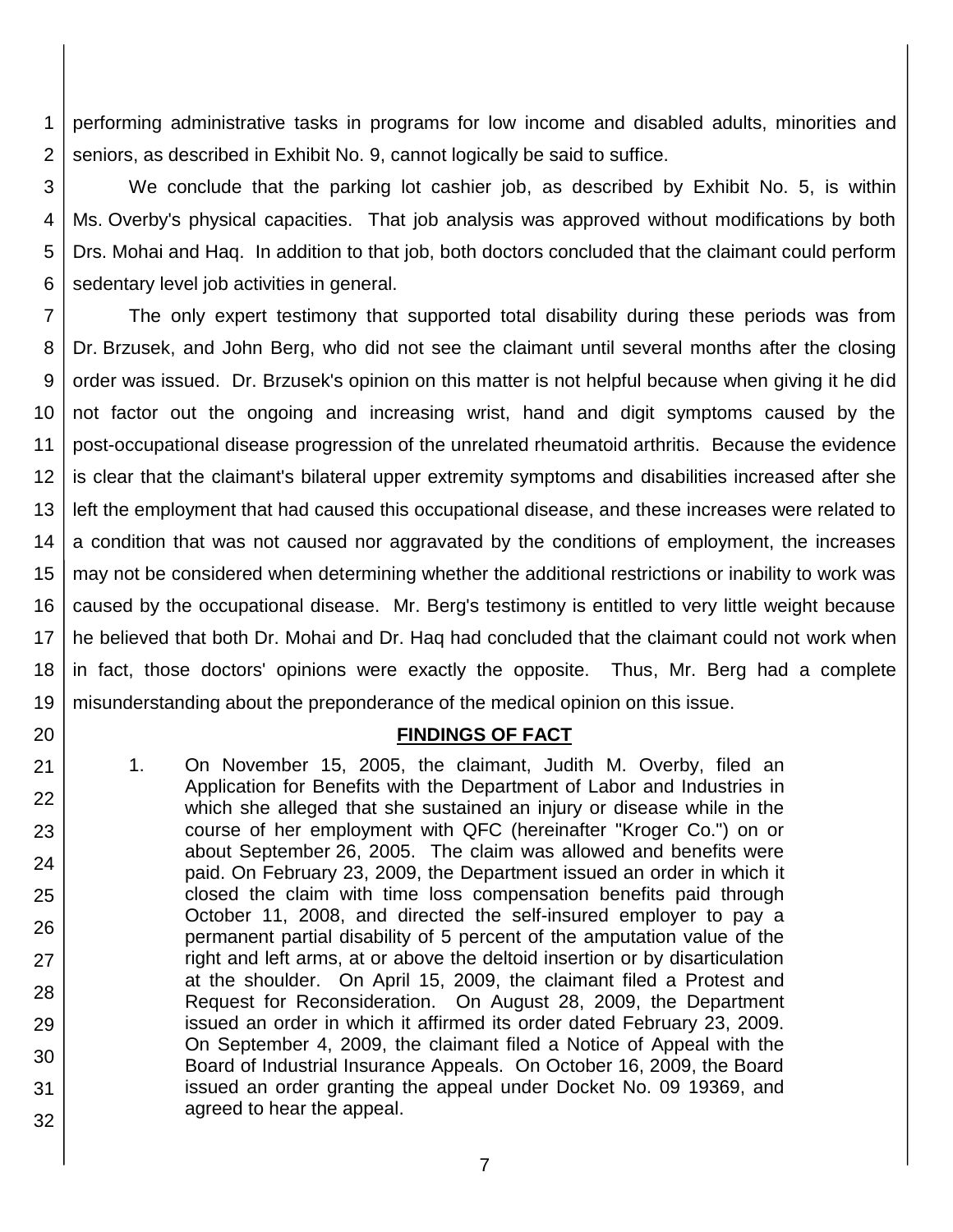1 2 performing administrative tasks in programs for low income and disabled adults, minorities and seniors, as described in Exhibit No. 9, cannot logically be said to suffice.

3 4 5 6 We conclude that the parking lot cashier job, as described by Exhibit No. 5, is within Ms. Overby's physical capacities. That job analysis was approved without modifications by both Drs. Mohai and Haq. In addition to that job, both doctors concluded that the claimant could perform sedentary level job activities in general.

7 8 9 10 11 12 13 14 15 16 17 18 19 The only expert testimony that supported total disability during these periods was from Dr. Brzusek, and John Berg, who did not see the claimant until several months after the closing order was issued. Dr. Brzusek's opinion on this matter is not helpful because when giving it he did not factor out the ongoing and increasing wrist, hand and digit symptoms caused by the post-occupational disease progression of the unrelated rheumatoid arthritis. Because the evidence is clear that the claimant's bilateral upper extremity symptoms and disabilities increased after she left the employment that had caused this occupational disease, and these increases were related to a condition that was not caused nor aggravated by the conditions of employment, the increases may not be considered when determining whether the additional restrictions or inability to work was caused by the occupational disease. Mr. Berg's testimony is entitled to very little weight because he believed that both Dr. Mohai and Dr. Haq had concluded that the claimant could not work when in fact, those doctors' opinions were exactly the opposite. Thus, Mr. Berg had a complete misunderstanding about the preponderance of the medical opinion on this issue.

## **FINDINGS OF FACT**

1. On November 15, 2005, the claimant, Judith M. Overby, filed an Application for Benefits with the Department of Labor and Industries in which she alleged that she sustained an injury or disease while in the course of her employment with QFC (hereinafter "Kroger Co.") on or about September 26, 2005. The claim was allowed and benefits were paid. On February 23, 2009, the Department issued an order in which it closed the claim with time loss compensation benefits paid through October 11, 2008, and directed the self-insured employer to pay a permanent partial disability of 5 percent of the amputation value of the right and left arms, at or above the deltoid insertion or by disarticulation at the shoulder. On April 15, 2009, the claimant filed a Protest and Request for Reconsideration. On August 28, 2009, the Department issued an order in which it affirmed its order dated February 23, 2009. On September 4, 2009, the claimant filed a Notice of Appeal with the Board of Industrial Insurance Appeals. On October 16, 2009, the Board issued an order granting the appeal under Docket No. 09 19369, and agreed to hear the appeal.

20

21

22

23

24

25

26

27

28

29

30

31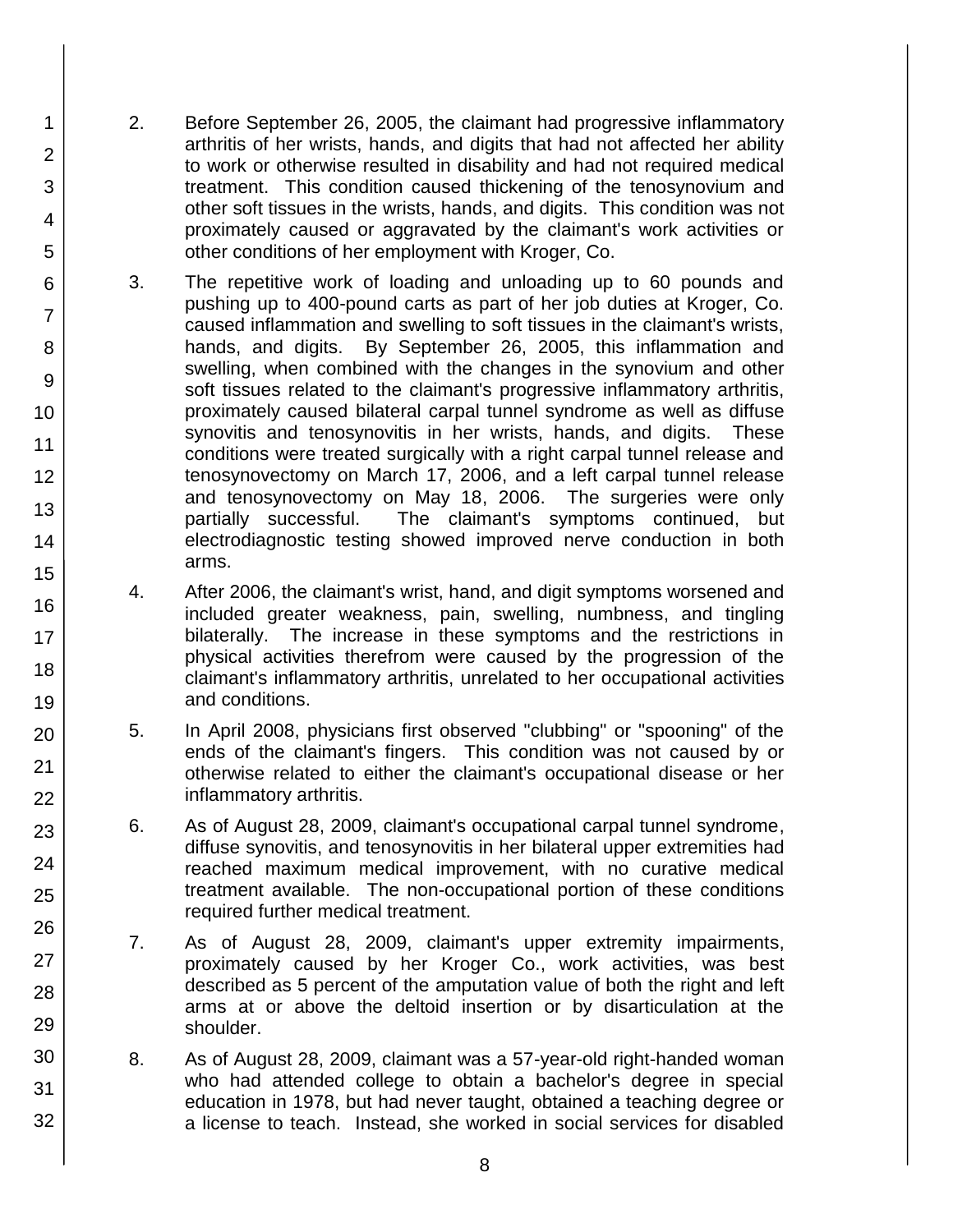2. Before September 26, 2005, the claimant had progressive inflammatory arthritis of her wrists, hands, and digits that had not affected her ability to work or otherwise resulted in disability and had not required medical treatment. This condition caused thickening of the tenosynovium and other soft tissues in the wrists, hands, and digits. This condition was not proximately caused or aggravated by the claimant's work activities or other conditions of her employment with Kroger, Co.

1

2

3

4

5

6

7

8

9

10

11

12

13

14

15

16

17 18

19

20

21 22

23

24

25

26

27

28

29

30

31

- 3. The repetitive work of loading and unloading up to 60 pounds and pushing up to 400-pound carts as part of her job duties at Kroger, Co. caused inflammation and swelling to soft tissues in the claimant's wrists, hands, and digits. By September 26, 2005, this inflammation and swelling, when combined with the changes in the synovium and other soft tissues related to the claimant's progressive inflammatory arthritis, proximately caused bilateral carpal tunnel syndrome as well as diffuse synovitis and tenosynovitis in her wrists, hands, and digits. These conditions were treated surgically with a right carpal tunnel release and tenosynovectomy on March 17, 2006, and a left carpal tunnel release and tenosynovectomy on May 18, 2006. The surgeries were only partially successful. The claimant's symptoms continued, but electrodiagnostic testing showed improved nerve conduction in both arms.
- 4. After 2006, the claimant's wrist, hand, and digit symptoms worsened and included greater weakness, pain, swelling, numbness, and tingling bilaterally. The increase in these symptoms and the restrictions in physical activities therefrom were caused by the progression of the claimant's inflammatory arthritis, unrelated to her occupational activities and conditions.
- 5. In April 2008, physicians first observed "clubbing" or "spooning" of the ends of the claimant's fingers. This condition was not caused by or otherwise related to either the claimant's occupational disease or her inflammatory arthritis.
- 6. As of August 28, 2009, claimant's occupational carpal tunnel syndrome, diffuse synovitis, and tenosynovitis in her bilateral upper extremities had reached maximum medical improvement, with no curative medical treatment available. The non-occupational portion of these conditions required further medical treatment.
- 7. As of August 28, 2009, claimant's upper extremity impairments, proximately caused by her Kroger Co., work activities, was best described as 5 percent of the amputation value of both the right and left arms at or above the deltoid insertion or by disarticulation at the shoulder.
- 8. As of August 28, 2009, claimant was a 57-year-old right-handed woman who had attended college to obtain a bachelor's degree in special education in 1978, but had never taught, obtained a teaching degree or a license to teach. Instead, she worked in social services for disabled
	- 8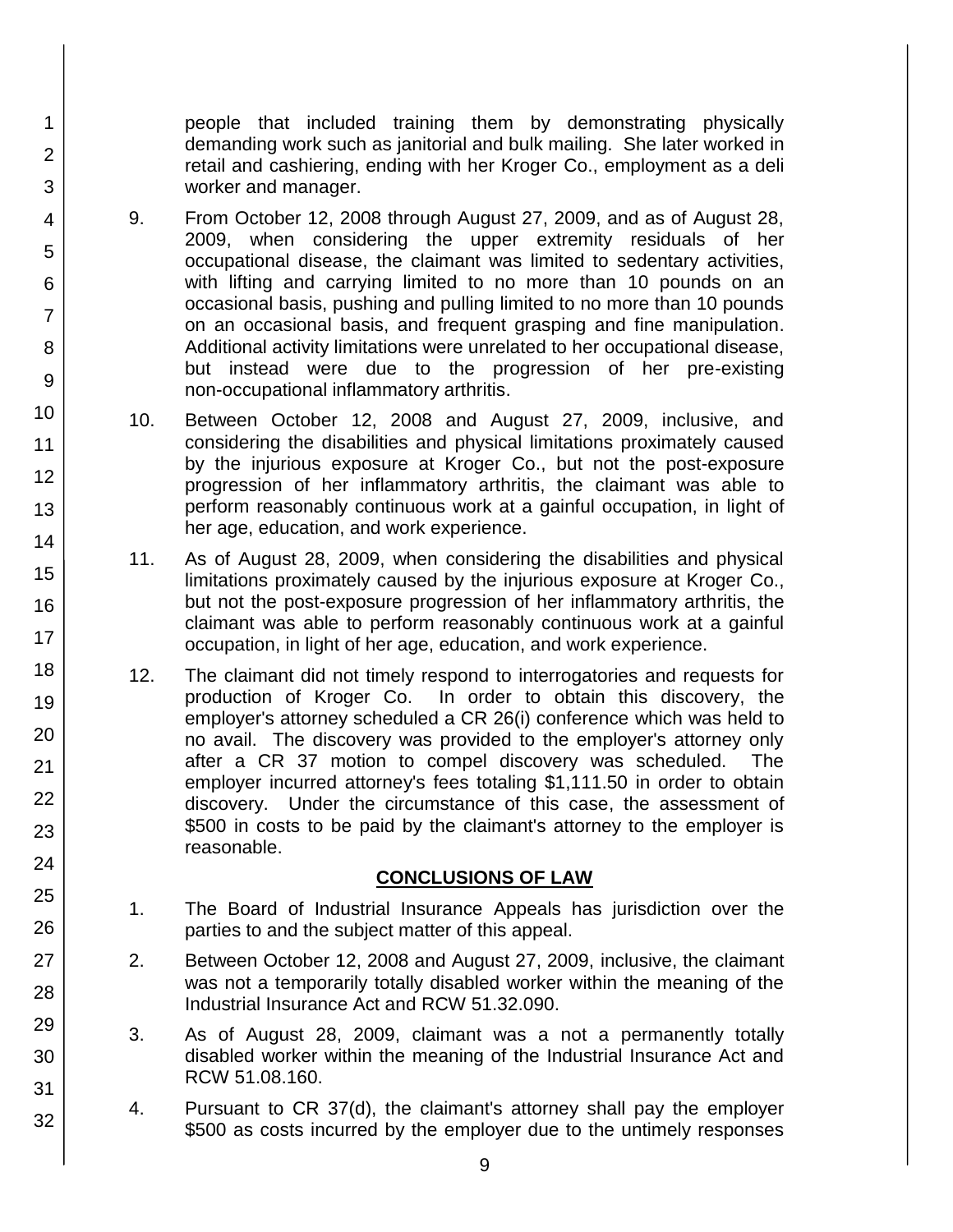people that included training them by demonstrating physically demanding work such as janitorial and bulk mailing. She later worked in retail and cashiering, ending with her Kroger Co., employment as a deli worker and manager.

9. From October 12, 2008 through August 27, 2009, and as of August 28, 2009, when considering the upper extremity residuals of her occupational disease, the claimant was limited to sedentary activities, with lifting and carrying limited to no more than 10 pounds on an occasional basis, pushing and pulling limited to no more than 10 pounds on an occasional basis, and frequent grasping and fine manipulation. Additional activity limitations were unrelated to her occupational disease, but instead were due to the progression of her pre-existing non-occupational inflammatory arthritis.

1

2

3

4

5

6

7

8

9

10

11 12

13

14

15

16

17

18

19

20

21 22

23

24

25

26

27

28

29

30

31

32

- 10. Between October 12, 2008 and August 27, 2009, inclusive, and considering the disabilities and physical limitations proximately caused by the injurious exposure at Kroger Co., but not the post-exposure progression of her inflammatory arthritis, the claimant was able to perform reasonably continuous work at a gainful occupation, in light of her age, education, and work experience.
- 11. As of August 28, 2009, when considering the disabilities and physical limitations proximately caused by the injurious exposure at Kroger Co., but not the post-exposure progression of her inflammatory arthritis, the claimant was able to perform reasonably continuous work at a gainful occupation, in light of her age, education, and work experience.
- 12. The claimant did not timely respond to interrogatories and requests for production of Kroger Co. In order to obtain this discovery, the employer's attorney scheduled a CR 26(i) conference which was held to no avail. The discovery was provided to the employer's attorney only after a CR 37 motion to compel discovery was scheduled. The employer incurred attorney's fees totaling \$1,111.50 in order to obtain discovery. Under the circumstance of this case, the assessment of \$500 in costs to be paid by the claimant's attorney to the employer is reasonable.

## **CONCLUSIONS OF LAW**

- 1. The Board of Industrial Insurance Appeals has jurisdiction over the parties to and the subject matter of this appeal.
- 2. Between October 12, 2008 and August 27, 2009, inclusive, the claimant was not a temporarily totally disabled worker within the meaning of the Industrial Insurance Act and RCW 51.32.090.
- 3. As of August 28, 2009, claimant was a not a permanently totally disabled worker within the meaning of the Industrial Insurance Act and RCW 51.08.160.
- 4. Pursuant to CR 37(d), the claimant's attorney shall pay the employer \$500 as costs incurred by the employer due to the untimely responses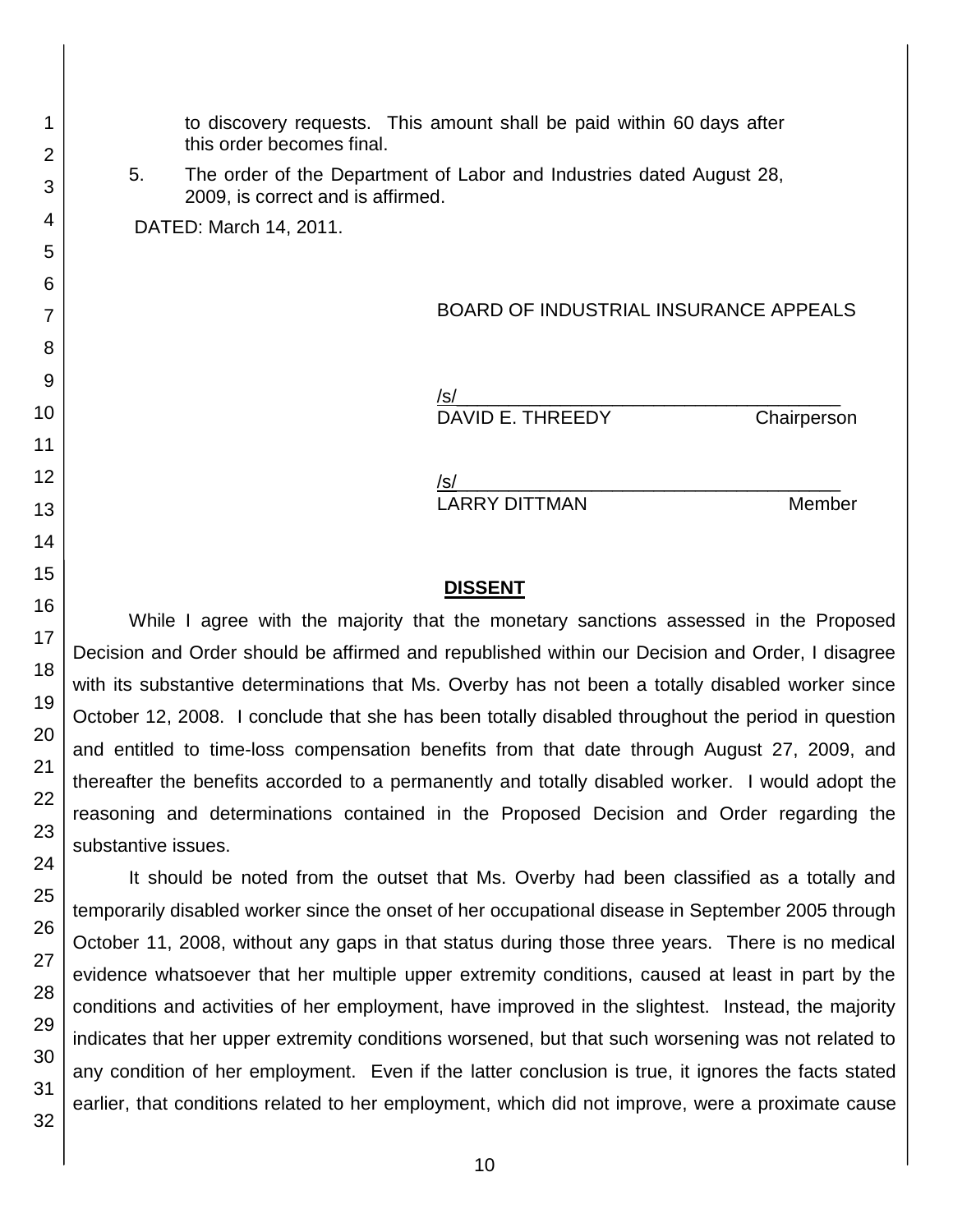this order becomes final. 5. The order of the Department of Labor and Industries dated August 28, 2009, is correct and is affirmed. DATED: March 14, 2011. BOARD OF INDUSTRIAL INSURANCE APPEALS /s/\_\_\_\_\_\_\_\_\_\_\_\_\_\_\_\_\_\_\_\_\_\_\_\_\_\_\_\_\_\_\_\_\_\_\_\_\_ DAVID E. THREEDY Chairperson /s/ LARRY DITTMAN Member

to discovery requests. This amount shall be paid within 60 days after

## **DISSENT**

While I agree with the majority that the monetary sanctions assessed in the Proposed Decision and Order should be affirmed and republished within our Decision and Order, I disagree with its substantive determinations that Ms. Overby has not been a totally disabled worker since October 12, 2008. I conclude that she has been totally disabled throughout the period in question and entitled to time-loss compensation benefits from that date through August 27, 2009, and thereafter the benefits accorded to a permanently and totally disabled worker. I would adopt the reasoning and determinations contained in the Proposed Decision and Order regarding the substantive issues.

It should be noted from the outset that Ms. Overby had been classified as a totally and temporarily disabled worker since the onset of her occupational disease in September 2005 through October 11, 2008, without any gaps in that status during those three years. There is no medical evidence whatsoever that her multiple upper extremity conditions, caused at least in part by the conditions and activities of her employment, have improved in the slightest. Instead, the majority indicates that her upper extremity conditions worsened, but that such worsening was not related to any condition of her employment. Even if the latter conclusion is true, it ignores the facts stated earlier, that conditions related to her employment, which did not improve, were a proximate cause